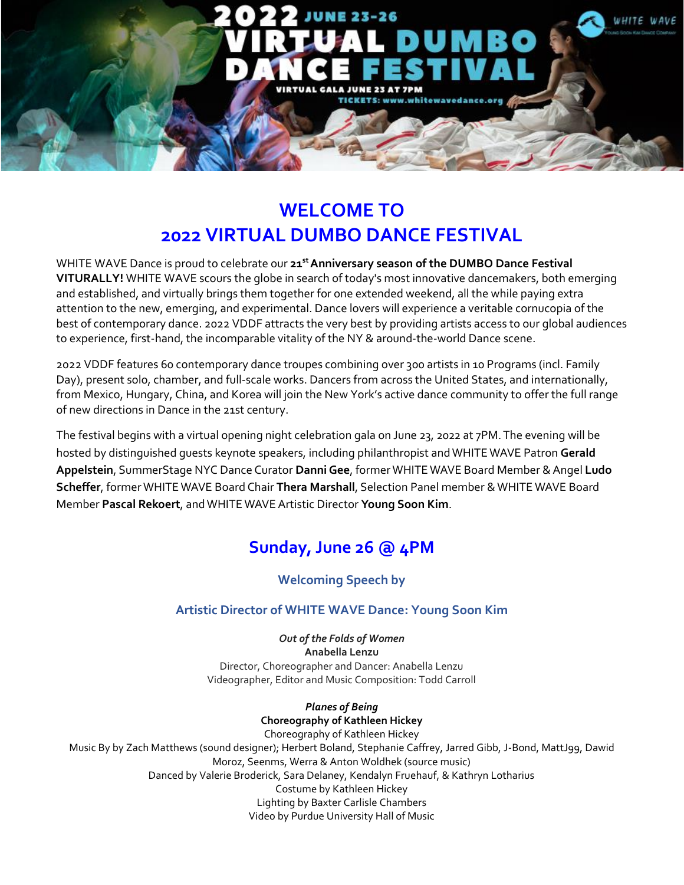

# **WELCOME TO 2022 VIRTUAL DUMBO DANCE FESTIVAL**

WHITE WAVE Dance is proud to celebrate our **21 stAnniversary season of the DUMBO Dance Festival VITURALLY!** WHITE WAVE scours the globe in search of today's most innovative dancemakers, both emerging and established, and virtually brings them together for one extended weekend, all the while paying extra attention to the new, emerging, and experimental. Dance lovers will experience a veritable cornucopia of the best of contemporary dance. 2022 VDDF attracts the very best by providing artists access to our global audiences to experience, first-hand, the incomparable vitality of the NY & around-the-world Dance scene.

2022 VDDF features 60 contemporary dance troupes combining over 300 artists in 10 Programs (incl. Family Day), present solo, chamber, and full-scale works. Dancers from across the United States, and internationally, from Mexico, Hungary, China, and Korea will join the New York's active dance community to offer the full range of new directions in Dance in the 21st century.

The festival begins with a virtual opening night celebration gala on June 23, 2022 at 7PM.The evening will be hosted by distinguished guests keynote speakers, including philanthropist andWHITEWAVE Patron **Gerald Appelstein**, SummerStage NYC Dance Curator **DanniGee**, formerWHITEWAVE Board Member &Angel **Ludo Scheffer**, formerWHITEWAVE Board Chair **Thera Marshall**, Selection Panel member &WHITE WAVE Board Member **Pascal Rekoert**, andWHITE WAVEArtistic Director **Young Soon Kim**.

# **Sunday, June 26 @ 4PM**

## **Welcoming Speech by**

## **Artistic Director of WHITE WAVE Dance: Young Soon Kim**

*Out of the Folds of Women* **Anabella Lenzu** Director, Choreographer and Dancer: Anabella Lenzu Videographer, Editor and Music Composition: Todd Carroll

*Planes of Being* **Choreography of Kathleen Hickey** Choreography of Kathleen Hickey Music By by Zach Matthews (sound designer); Herbert Boland, Stephanie Caffrey, Jarred Gibb, J-Bond, MattJ99, Dawid Moroz, Seenms, Werra & Anton Woldhek (source music) Danced by Valerie Broderick, Sara Delaney, Kendalyn Fruehauf, & Kathryn Lotharius Costume by Kathleen Hickey Lighting by Baxter Carlisle Chambers Video by Purdue University Hall of Music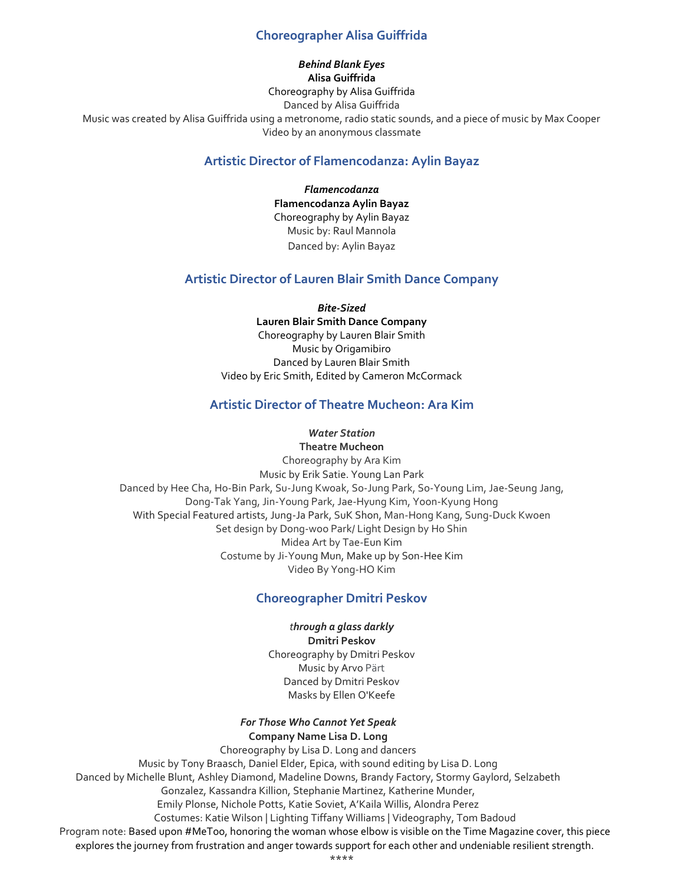## **Choreographer Alisa Guiffrida**

## *Behind Blank Eyes*

**Alisa Guiffrida** Choreography by Alisa Guiffrida Danced by Alisa Guiffrida Music was created by Alisa Guiffrida using a metronome, radio static sounds, and a piece of music by Max Cooper Video by an anonymous classmate

### **Artistic Director of Flamencodanza: Aylin Bayaz**

*Flamencodanza* **Flamencodanza Aylin Bayaz** Choreography by Aylin Bayaz Music by: Raul Mannola Danced by: Aylin Bayaz

## **Artistic Director of Lauren Blair Smith Dance Company**

*Bite-Sized* **Lauren Blair Smith Dance Company** Choreography by Lauren Blair Smith Music by Origamibiro Danced by Lauren Blair Smith Video by Eric Smith, Edited by Cameron McCormack

## **Artistic Director of Theatre Mucheon: Ara Kim**

#### *Water Station* **Theatre Mucheon**

Choreography by Ara Kim Music by Erik Satie. Young Lan Park Danced by Hee Cha, Ho-Bin Park, Su-Jung Kwoak, So-Jung Park, So-Young Lim, Jae-Seung Jang, Dong-Tak Yang, Jin-Young Park, Jae-Hyung Kim, Yoon-Kyung Hong With Special Featured artists, Jung-Ja Park, SuK Shon, Man-Hong Kang, Sung-Duck Kwoen Set design by Dong-woo Park/ Light Design by Ho Shin Midea Art by Tae-Eun Kim Costume by Ji-Young Mun, Make up by Son-Hee Kim Video By Yong-HO Kim

## **Choreographer Dmitri Peskov**

### *through a glass darkly*

**Dmitri Peskov** Choreography by Dmitri Peskov Music by Arvo Pärt Danced by Dmitri Peskov Masks by Ellen O'Keefe

#### *For Those Who Cannot Yet Speak* **Company Name Lisa D. Long**

Choreography by Lisa D. Long and dancers Music by Tony Braasch, Daniel Elder, Epica, with sound editing by Lisa D. Long Danced by Michelle Blunt, Ashley Diamond, Madeline Downs, Brandy Factory, Stormy Gaylord, Selzabeth Gonzalez, Kassandra Killion, Stephanie Martinez, Katherine Munder, Emily Plonse, Nichole Potts, Katie Soviet, A'Kaila Willis, Alondra Perez Costumes: Katie Wilson | Lighting Tiffany Williams | Videography, Tom Badoud Program note: Based upon #MeToo, honoring the woman whose elbow is visible on the Time Magazine cover, this piece explores the journey from frustration and anger towards support for each other and undeniable resilient strength. \*\*\*\*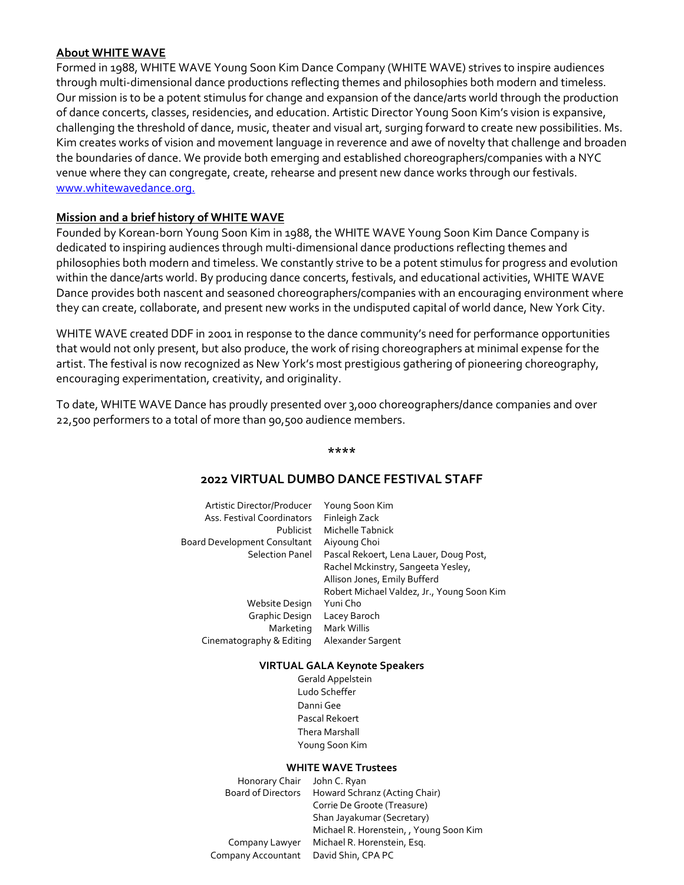### **About WHITE WAVE**

Formed in 1988, WHITE WAVE Young Soon Kim Dance Company (WHITE WAVE) strives to inspire audiences through multi-dimensional dance productions reflecting themes and philosophies both modern and timeless. Our mission is to be a potent stimulus for change and expansion of the dance/arts world through the production of dance concerts, classes, residencies, and education. Artistic Director Young Soon Kim's vision is expansive, challenging the threshold of dance, music, theater and visual art, surging forward to create new possibilities. Ms. Kim creates works of vision and movement language in reverence and awe of novelty that challenge and broaden the boundaries of dance. We provide both emerging and established choreographers/companies with a NYC venue where they can congregate, create, rehearse and present new dance works through our festivals. [www.whitewavedance.org.](http://www.whitewavedance.org./)

## **Mission and a brief history of WHITE WAVE**

Founded by Korean-born Young Soon Kim in 1988, the WHITE WAVE Young Soon Kim Dance Company is dedicated to inspiring audiences through multi-dimensional dance productions reflecting themes and philosophies both modern and timeless. We constantly strive to be a potent stimulus for progress and evolution within the dance/arts world. By producing dance concerts, festivals, and educational activities, WHITE WAVE Dance provides both nascent and seasoned choreographers/companies with an encouraging environment where they can create, collaborate, and present new works in the undisputed capital of world dance, New York City.

WHITE WAVE created DDF in 2001 in response to the dance community's need for performance opportunities that would not only present, but also produce, the work of rising choreographers at minimal expense for the artist. The festival is now recognized as New York's most prestigious gathering of pioneering choreography, encouraging experimentation, creativity, and originality.

To date, WHITE WAVE Dance has proudly presented over 3,000 choreographers/dance companies and over 22,500 performers to a total of more than 90,500 audience members.

**\*\*\*\***

## **2022 VIRTUAL DUMBO DANCE FESTIVAL STAFF**

| Artistic Director/Producer   | Young Soon Kim                             |
|------------------------------|--------------------------------------------|
| Ass. Festival Coordinators   | Finleigh Zack                              |
| <b>Publicist</b>             | Michelle Tabnick                           |
| Board Development Consultant | Aiyoung Choi                               |
| <b>Selection Panel</b>       | Pascal Rekoert, Lena Lauer, Doug Post,     |
|                              | Rachel Mckinstry, Sangeeta Yesley,         |
|                              | Allison Jones, Emily Bufferd               |
|                              | Robert Michael Valdez, Jr., Young Soon Kim |
| Website Design               | Yuni Cho                                   |
| Graphic Design               | Lacey Baroch                               |
| Marketing                    | Mark Willis                                |
| Cinematography & Editing     | Alexander Sargent                          |
|                              |                                            |

#### **VIRTUAL GALA Keynote Speakers**

 Gerald Appelstein Ludo Scheffer Danni Gee Pascal Rekoert Thera Marshall Young Soon Kim

#### **WHITE WAVE Trustees**

| Honorary Chair John C. Ryan |                                         |
|-----------------------------|-----------------------------------------|
| <b>Board of Directors</b>   | Howard Schranz (Acting Chair)           |
|                             | Corrie De Groote (Treasure)             |
|                             | Shan Jayakumar (Secretary)              |
|                             | Michael R. Horenstein, , Young Soon Kim |
| Company Lawyer              | Michael R. Horenstein, Esq.             |
| Company Accountant          | David Shin, CPA PC                      |